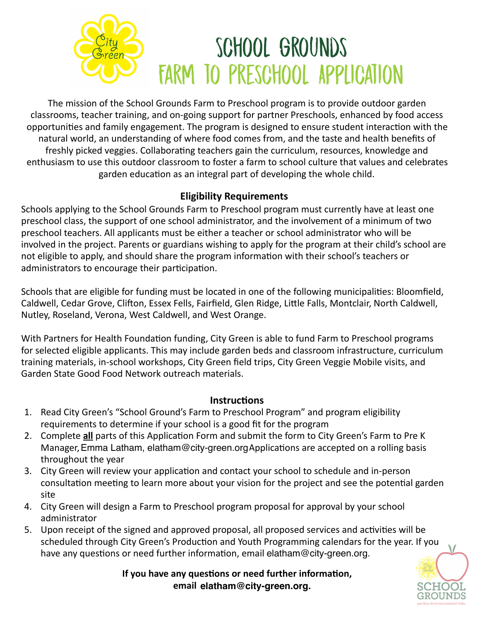

The mission of the School Grounds Farm to Preschool program is to provide outdoor garden classrooms, teacher training, and on-going support for partner Preschools, enhanced by food access opportunities and family engagement. The program is designed to ensure student interaction with the natural world, an understanding of where food comes from, and the taste and health benefits of freshly picked veggies. Collaborating teachers gain the curriculum, resources, knowledge and enthusiasm to use this outdoor classroom to foster a farm to school culture that values and celebrates garden education as an integral part of developing the whole child.

## **Eligibility Requirements**

Schools applying to the School Grounds Farm to Preschool program must currently have at least one preschool class, the support of one school administrator, and the involvement of a minimum of two preschool teachers. All applicants must be either a teacher or school administrator who will be involved in the project. Parents or guardians wishing to apply for the program at their child's school are not eligible to apply, and should share the program information with their school's teachers or administrators to encourage their participation.

Schools that are eligible for funding must be located in one of the following municipalities: Bloomfield, Caldwell, Cedar Grove, Clifton, Essex Fells, Fairfield, Glen Ridge, Little Falls, Montclair, North Caldwell, Nutley, Roseland, Verona, West Caldwell, and West Orange.

With Partners for Health Foundation funding, City Green is able to fund Farm to Preschool programs for selected eligible applicants. This may include garden beds and classroom infrastructure, curriculum training materials, in-school workshops, City Green field trips, City Green Veggie Mobile visits, and Garden State Good Food Network outreach materials.

#### **Instructions**

- 1. Read City Green's "School Ground's Farm to Preschool Program" and program eligibility requirements to determine if your school is a good fit for the program
- 2. Complete **all** parts of this Application Form and submit the form to City Green's Farm to Pre K Manager, Emma Latham, elatham@city-green.org Applications are accepted on a rolling basis throughout the year
- 3. City Green will review your application and contact your school to schedule and in-person consultation meeting to learn more about your vision for the project and see the potential garden site
- 4. City Green will design a Farm to Preschool program proposal for approval by your school administrator
- 5. Upon receipt of the signed and approved proposal, all proposed services and activities will be scheduled through City Green's Production and Youth Programming calendars for the year. If you have any questions or need further information, email elatham@city-green.org.

If you have any questions or need further information, **email aheisler@city-green.org elatham@city-green.org.**

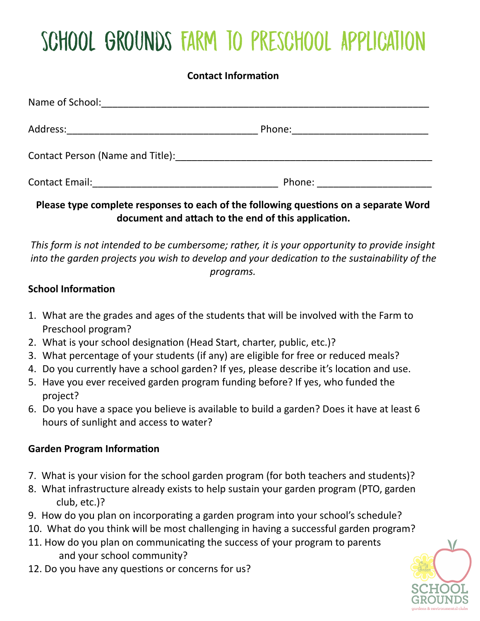# School Grounds Farm to Preschool Application

## **Contact Information**

| Name of School:                                                                                                                                                                                                               |        |
|-------------------------------------------------------------------------------------------------------------------------------------------------------------------------------------------------------------------------------|--------|
| Address:                                                                                                                                                                                                                      | Phone: |
| Contact Person (Name and Title): Name and Title and Title and Allen and Allen and Allen and Allen and Allen and Allen and Allen and Allen and Allen and Allen and Allen and Allen and Allen and Allen and Allen and Allen and |        |
| <b>Contact Email:</b>                                                                                                                                                                                                         | Phone: |

Please type complete responses to each of the following questions on a separate Word document and attach to the end of this application.

This form is not intended to be cumbersome; rather, it is your opportunity to provide insight *into the garden projects you wish to develop and your dedication to the sustainability of the programs.*

## **School Information**

- 1. What are the grades and ages of the students that will be involved with the Farm to Preschool program?
- 2. What is your school designation (Head Start, charter, public, etc.)?
- 3. What percentage of your students (if any) are eligible for free or reduced meals?
- 4. Do you currently have a school garden? If yes, please describe it's location and use.
- 5. Have you ever received garden program funding before? If yes, who funded the project?
- 6. Do you have a space you believe is available to build a garden? Does it have at least 6 hours of sunlight and access to water?

# **Garden Program Information**

- 7. What is your vision for the school garden program (for both teachers and students)?
- 8. What infrastructure already exists to help sustain your garden program (PTO, garden club, etc.)?
- 9. How do you plan on incorporating a garden program into your school's schedule?
- 10. What do you think will be most challenging in having a successful garden program?
- 11. How do you plan on communicating the success of your program to parents and your school community?
- 12. Do you have any questions or concerns for us?